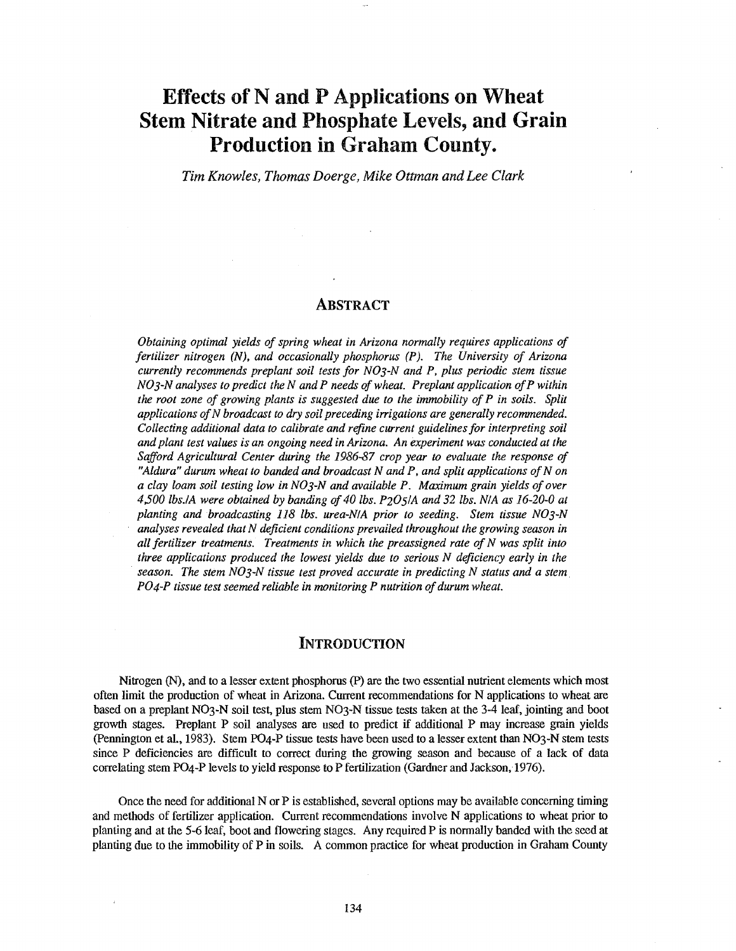# Effects of N and P Applications on Wheat Stem Nitrate and Phosphate Levels, and Grain Production in Graham County.

Tim Knowles, Thomas Doerge, Mike Ottman and Lee Clark

#### ABSTRACT

Obtaining optimal yields of spring wheat in Arizona normally requires applications of fertilizer nitrogen (N), and occasionally phosphorus (P). The University of Arizona currently recommends preplant soil tests for NO3 -N and P, plus periodic stem tissue  $NO<sub>3</sub>-N$  analyses to predict the N and P needs of wheat. Preplant application of P within the root zone of growing plants is suggested due to the immobility of P in soils. Split applications of N broadcast to dry soil preceding irrigations are generally recommended. Collecting additional data to calibrate and refine current guidelines for interpreting soil and plant test values is an ongoing need in Arizona. An experiment was conducted at the Safford Agricultural Center during the 1986 -87 crop year to evaluate the response of "Aldura" durum wheat to banded and broadcast  $N$  and  $P$ , and split applications of  $N$  on a clay loam soil testing low in  $NO_3$ -N and available P. Maximum grain yields of over 4,500 lbs. /A were obtained by banding of 40 lbs.  $P2O5/A$  and 32 lbs. N/A as 16-20-0 at planting and broadcasting 118 lbs. urea -N/A prior to seeding. Stem tissue NO3 -N analyses revealed that N deficient conditions prevailed throughout the growing season in all fertilizer treatments. Treatments in which the preassigned rate of  $N$  was split into three applications produced the lowest yields due to serious  $N$  deficiency early in the season. The stem  $NOS-N$  tissue test proved accurate in predicting  $N$  status and a stem. PO4 -P tissue test seemed reliable in monitoring P nutrition of durum wheat.

## **INTRODUCTION**

Nitrogen (N), and to a lesser extent phosphorus (P) are the two essential nutrient elements which most often limit the production of wheat in Arizona. Current recommendations for N applications to wheat are based on a preplant NO3 -N soil test, plus stem NO3 -N tissue tests taken at the 3 -4 leaf, jointing and boot growth stages. Preplant P soil analyses are used to predict if additional P may increase grain yields (Pennington et al., 1983). Stem PO4 -P tissue tests have been used to a lesser extent than NO3 -N stem tests since P deficiencies are difficult to correct during the growing season and because of a lack of data correlating stem PO4 -P levels to yield response to P fertilization (Gardner and Jackson, 1976).

Once the need for additional N or P is established, several options may be available concerning timing and methods of fertilizer application. Current recommendations involve N applications to wheat prior to planting and at the 5 -6 leaf, boot and flowering stages. Any required P is normally banded with the seed at planting due to the immobility of P in soils. A common practice for wheat production in Graham County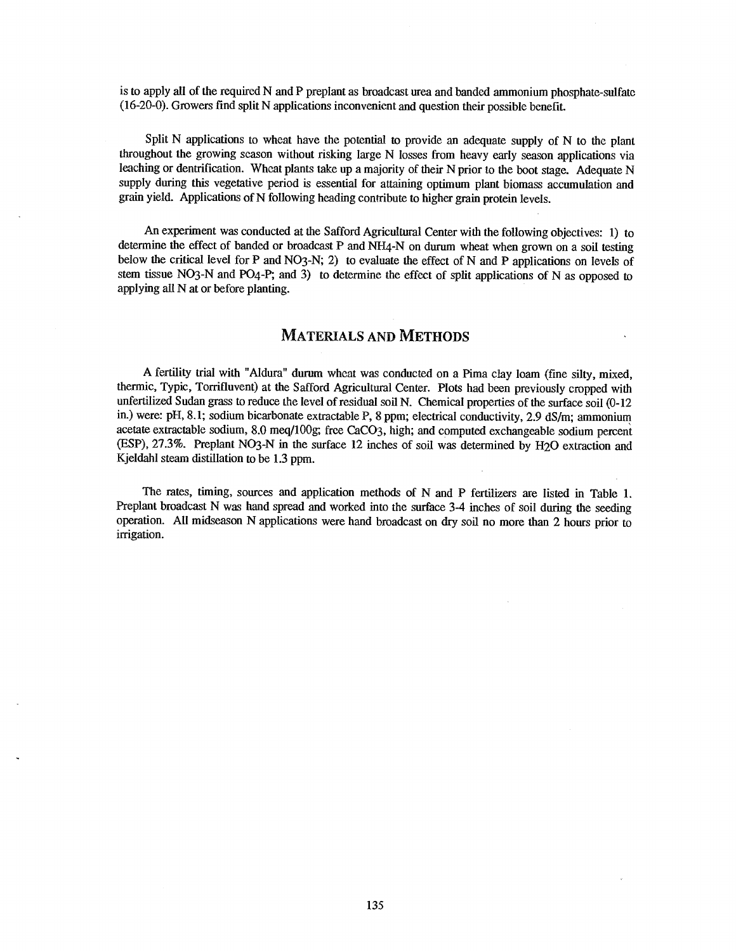is to apply all of the required N and P preplant as broadcast urea and banded ammonium phosphate-sulfate (16-20-0). Growers find split N applications inconvenient and question their possible benefit.

Split N applications to wheat have the potential to provide an adequate supply of N to the plant throughout the growing season without risking large N losses from heavy early season applications via leaching or dentrification. Wheat plants take up a majority of their N prior to the boot stage. Adequate N supply during this vegetative period is essential for attaining optimum plant biomass accumulation and grain yield. Applications of N following heading contribute to higher grain protein levels.

An experiment was conducted at the Safford Agricultural Center with the following objectives: 1) to determine the effect of banded or broadcast P and NH4-N on durum wheat when grown on a soil testing below the critical level for P and NO3-N; 2) to evaluate the effect of N and P applications on levels of stem tissue NO3-N and PO4-P; and 3) to determine the effect of split applications of N as opposed to applying all N at or before planting.

# MATERIALS AND METHODS

A fertility trial with "Aldura" durum wheat was conducted on a Pima clay loam (fine silty, mixed, thermic, Typic, Torrifluvent) at the Safford Agricultural Center. Plots had been previously cropped with unfertilized Sudan grass to reduce the level of residual soil N. Chemical properties of the surface soil (0 -12 in.) were: pH, 8.1; sodium bicarbonate extractable P, 8 ppm; electrical conductivity, 2.9 dS/m; ammonium acetate extractable sodium, 8.0 meq /100g; free CaCO3, high; and computed exchangeable sodium percent (ESP), 27.3 %. Preplant NO3 -N in the surface 12 inches of soil was determined by H2O extraction and Kjeldahl steam distillation to be 1.3 ppm.

The rates, timing, sources and application methods of N and P fertilizers are listed in Table 1. Preplant broadcast N was hand spread and worked into the surface 3-4 inches of soil during the seeding operation. All midseason N applications were hand broadcast on dry soil no more than 2 hours prior to irrigation.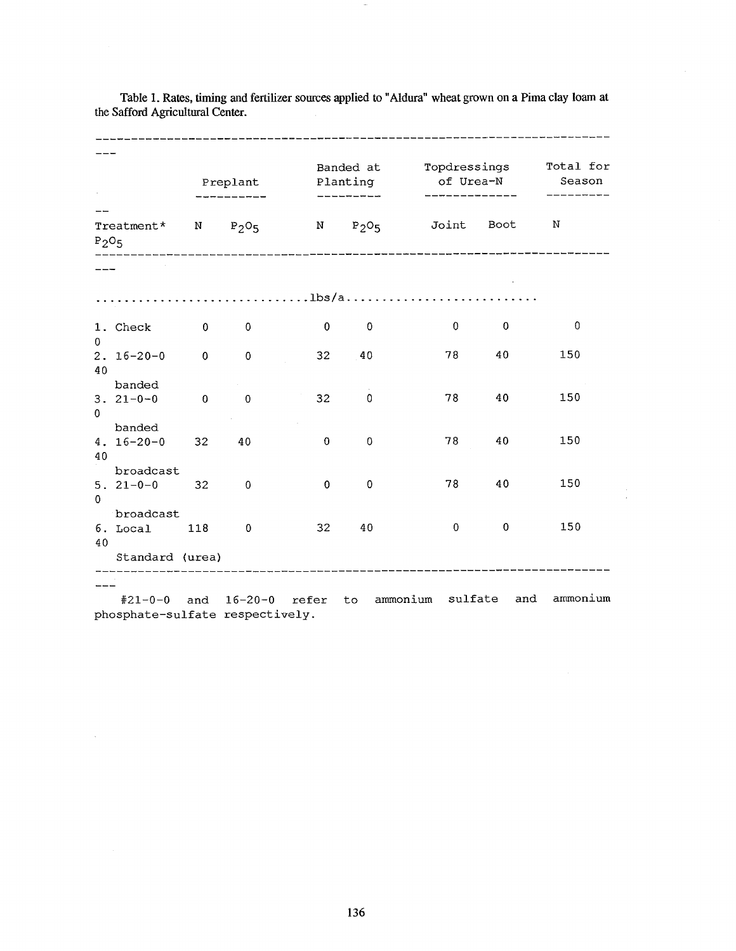|              | Preplant                    |                | Planting<br>_________ |             | Banded at Topdressings<br>of Urea-N |                                               | Total for<br>Season |             |
|--------------|-----------------------------|----------------|-----------------------|-------------|-------------------------------------|-----------------------------------------------|---------------------|-------------|
| $P_2O_5$     |                             |                |                       |             |                                     | Treatment* N $P_2O_5$ N $P_2O_5$ Joint Boot N |                     |             |
|              |                             |                |                       |             |                                     |                                               |                     |             |
|              |                             |                |                       |             |                                     |                                               |                     |             |
|              | 1. Check                    | $\mathbf{0}$   | $\mathbf 0$           | $\bf{0}$    | $\mathbf 0$                         | $\mathbf{0}$                                  | $\mathbf{0}$        | $\mathbf 0$ |
| 0<br>40      | $2.16 - 20 - 0$             | $\overline{0}$ | $\mathbf 0$           | 32          | 40                                  | 78                                            | 40                  | 150         |
| $\mathbf{0}$ | banded<br>$3.21 - 0 - 0$    | $\mathbf 0$    | $\mathbf{0}$          | 32          | $\Omega$                            | 78                                            | 40                  | 150         |
|              | banded<br>$4.16 - 20 - 0$   | 32             | 40                    | $\mathbf 0$ | $\overline{0}$                      | 78                                            | 40                  | 150         |
| 40           | broadcast<br>$5.21 - 0 - 0$ | 32             | $\mathbf{0}$          | $\mathbf 0$ | $\overline{0}$                      | 78                                            | 40                  | 150         |
| $\Omega$     | broadcast                   |                |                       |             |                                     | $\overline{0}$                                | $\pmb{0}$           | 150         |
| 40           | 6. Local                    | 118            | $\overline{0}$        | 32          | 40                                  |                                               |                     |             |
|              | Standard (urea)             |                |                       |             |                                     |                                               |                     |             |

Table 1. Rates, timing and fertilizer sources applied to "Aldura" wheat grown on a Pima clay loam at the Safford Agricultural Center.

#21 -0 -0 and 16 -20 -0 refer to ammonium sulfate and ammonium phosphate-sulfate respectively.

 $\sim$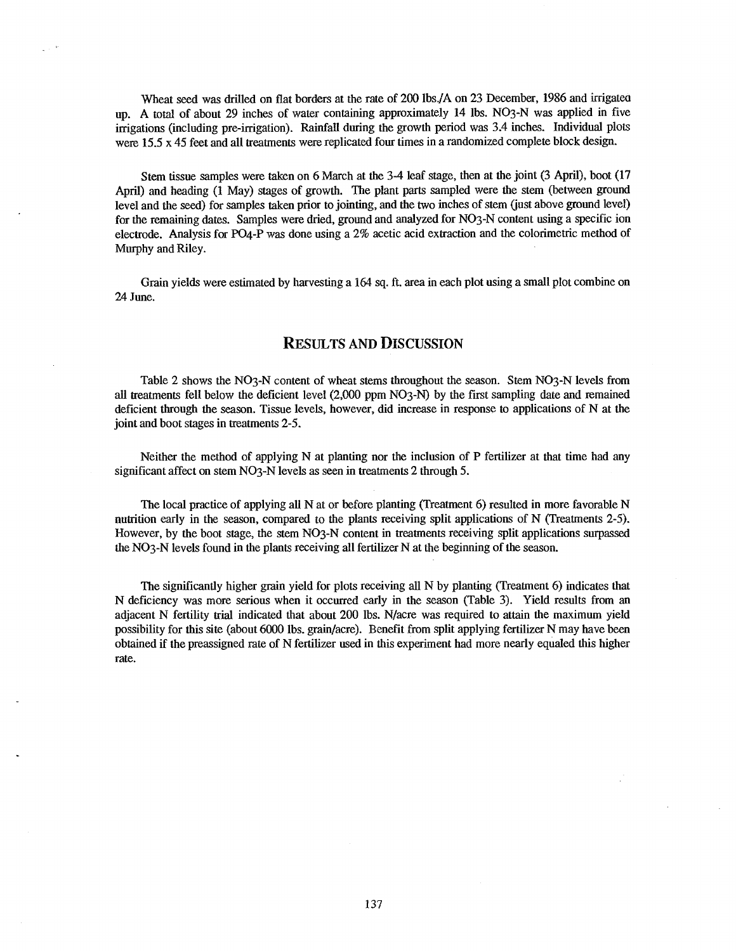Wheat seed was drilled on flat borders at the rate of 200 lbs./A on 23 December, 1986 and irrigated up. A total of about 29 inches of water containing approximately 14 lbs. NO3-N was applied in five irrigations (including pre -irrigation). Rainfall during the growth period was 3.4 inches. Individual plots were 15.5 x 45 feet and all treatments were replicated four times in a randomized complete block design.

Stem tissue samples were taken on 6 March at the 3-4 leaf stage, then at the joint (3 April), boot (17 April) and heading (1 May) stages of growth. The plant parts sampled were the stem (between ground level and the seed) for samples taken prior to jointing, and the two inches of stem (just above ground level) for the remaining dates. Samples were dried, ground and analyzed for NO3 -N content using a specific ion electrode. Analysis for PO4-P was done using a 2% acetic acid extraction and the colorimetric method of Murphy and Riley.

Grain yields were estimated by harvesting a 164 sq. ft. area in each plot using a small plot combine on 24 June.

### RESULTS AND DISCUSSION

Table 2 shows the NO3-N content of wheat stems throughout the season. Stem NO3-N levels from all treatments fell below the deficient level (2,000 ppm NO3 -N) by the first sampling date and remained deficient through the season. Tissue levels, however, did increase in response to applications of N at the joint and boot stages in treatments 2-5.

Neither the method of applying N at planting nor the inclusion of P fertilizer at that time had any significant affect on stem NO3-N levels as seen in treatments 2 through 5.

The local practice of applying all N at or before planting (Treatment 6) resulted in more favorable N nutrition early in the season, compared to the plants receiving split applications of N (Treatments 2-5). However, by the boot stage, the stem NO3-N content in treatments receiving split applications surpassed the NO3 -N levels found in the plants receiving all fertilizer N at the beginning of the season.

The significantly higher grain yield for plots receiving all N by planting (Treatment 6) indicates that N deficiency was more serious when it occurred early in the season (Table 3). Yield results from an adjacent N fertility trial indicated that about 200 lbs. N/acre was required to attain the maximum yield possibility for this site (about 6000 lbs. grain /acre). Benefit from split applying fertilizer N may have been obtained if the preassigned rate of N fertilizer used in this experiment had more nearly equaled this higher rate.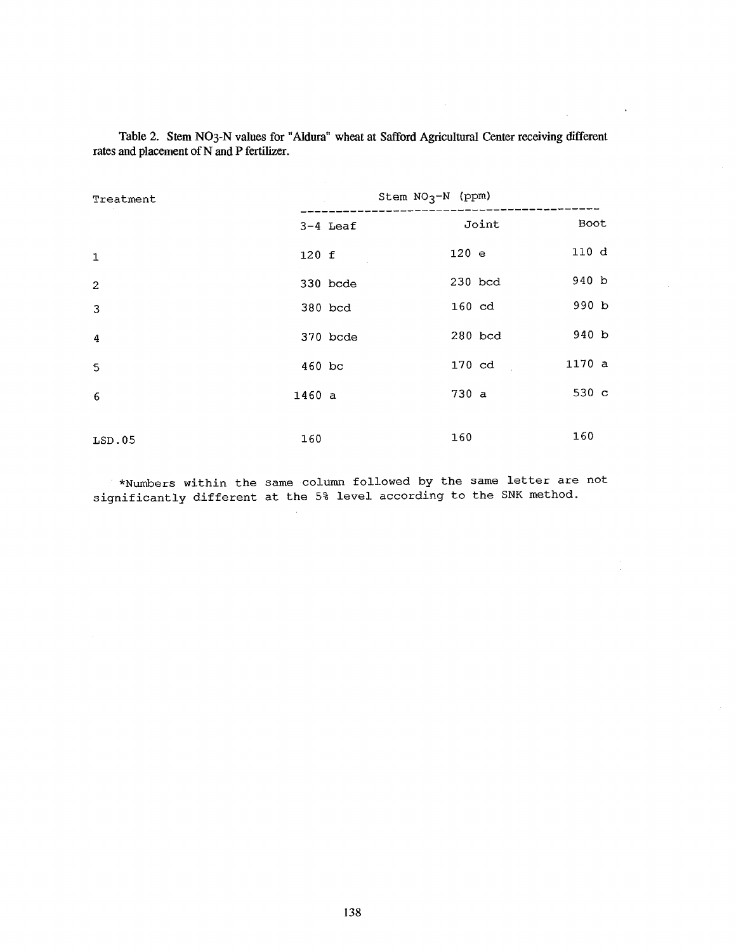| Treatment      |            | Stem $NO3-N$ (ppm) |       |
|----------------|------------|--------------------|-------|
|                | $3-4$ Leaf | Joint              | Boot  |
| $\mathbf 1$    | 120 f      | $120$ e            | 110 d |
| $\overline{c}$ | 330 bcde   | 230 bcd            | 940 b |
| $\overline{3}$ | 380 bcd    | $160 \text{ cd}$   | 990 b |
| 4              | 370 bcde   | 280 bcd            | 940 b |
| 5              | $460$ bc   | 170 cd             | 1170a |
| 6              | 1460a      | 730 a              | 530 c |
|                |            |                    |       |
| LSD.05         | 160        | 160                | 160   |

Table 2. Stem NO3-N values for "Aldura" wheat at Safford Agricultural Center receiving different rates and placement of N and P fertilizer.

 $\alpha$ 

 $\bar{z}$ 

\*Numbers within the same column followed by the same letter are not significantly different at the 5% level according to the SNK method.

 $\mathcal{L}$